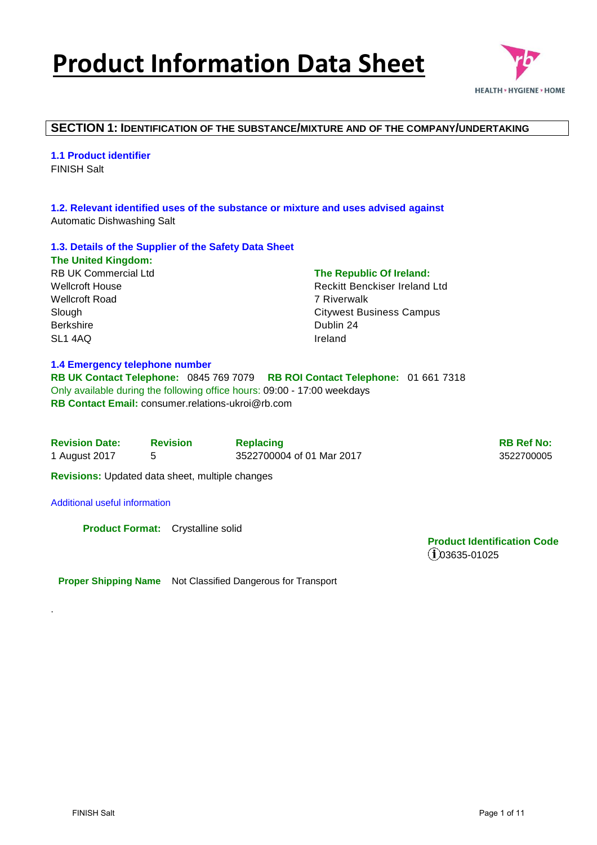# **Product Information Data Sheet**



### **SECTION 1: IDENTIFICATION OF THE SUBSTANCE/MIXTURE AND OF THE COMPANY/UNDERTAKING**

**1.1 Product identifier**  FINISH Salt

**1.2. Relevant identified uses of the substance or mixture and uses advised against**  Automatic Dishwashing Salt

### **1.3. Details of the Supplier of the Safety Data Sheet**

**The United Kingdom:**  RB UK Commercial Ltd Wellcroft House Wellcroft Road Slough Berkshire SL1 4AQ

#### **1.4 Emergency telephone number**

**RB UK Contact Telephone:** 0845 769 7079 **RB ROI Contact Telephone:** 01 661 7318 Only available during the following office hours: 09:00 - 17:00 weekdays **RB Contact Email:** consumer relations-ukroi@rb.com

| <b>Revision Date:</b> | <b>Revision</b> | <b>Replacing</b>          | <b>RB Ref No:</b> |
|-----------------------|-----------------|---------------------------|-------------------|
| 1 August 2017         |                 | 3522700004 of 01 Mar 2017 | 3522700005        |

**The Republic Of Ireland:**  Reckitt Benckiser Ireland Ltd

Citywest Business Campus

7 Riverwalk

Dublin 24 Ireland

**Revisions:** Updated data sheet, multiple changes

#### Additional useful information

.

**Product Format:** Crystalline solid

**Product Identification Code**   $(1)$ 03635-01025

**Proper Shipping Name** Not Classified Dangerous for Transport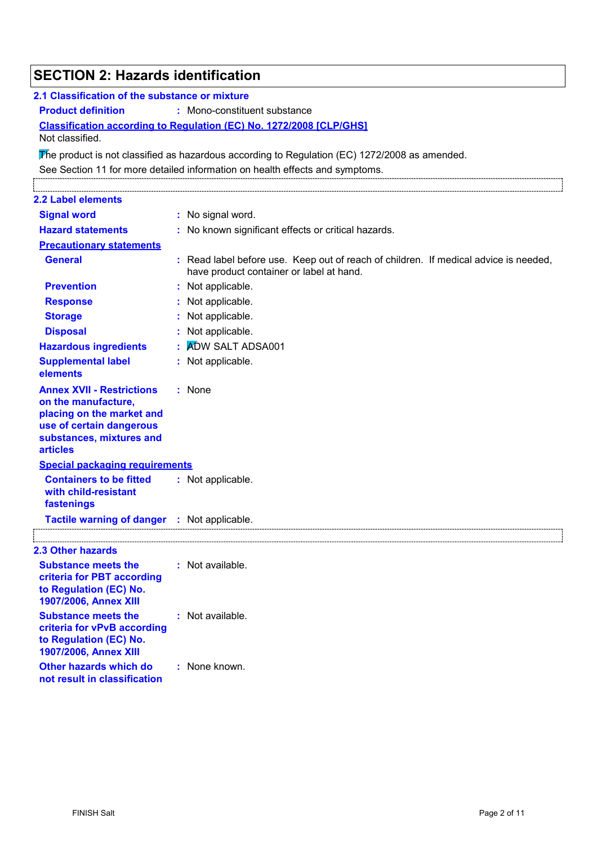| <b>SECTION 2: Hazards identification</b>                                                                                                                        |                                                                                                                                  |  |  |  |
|-----------------------------------------------------------------------------------------------------------------------------------------------------------------|----------------------------------------------------------------------------------------------------------------------------------|--|--|--|
| 2.1 Classification of the substance or mixture                                                                                                                  |                                                                                                                                  |  |  |  |
| <b>Product definition</b><br>: Mono-constituent substance                                                                                                       |                                                                                                                                  |  |  |  |
|                                                                                                                                                                 | Classification according to Regulation (EC) No. 1272/2008 [CLP/GHS]                                                              |  |  |  |
| Not classified.                                                                                                                                                 |                                                                                                                                  |  |  |  |
|                                                                                                                                                                 | The product is not classified as hazardous according to Regulation (EC) $1272/2008$ as amended.                                  |  |  |  |
|                                                                                                                                                                 | See Section 11 for more detailed information on health effects and symptoms.                                                     |  |  |  |
|                                                                                                                                                                 |                                                                                                                                  |  |  |  |
| <b>2.2 Label elements</b>                                                                                                                                       |                                                                                                                                  |  |  |  |
| <b>Signal word</b>                                                                                                                                              | : No signal word.                                                                                                                |  |  |  |
| <b>Hazard statements</b>                                                                                                                                        | : No known significant effects or critical hazards.                                                                              |  |  |  |
| <b>Precautionary statements</b>                                                                                                                                 |                                                                                                                                  |  |  |  |
| <b>General</b>                                                                                                                                                  | : Read label before use. Keep out of reach of children. If medical advice is needed,<br>have product container or label at hand. |  |  |  |
| <b>Prevention</b>                                                                                                                                               | : Not applicable.                                                                                                                |  |  |  |
| <b>Response</b>                                                                                                                                                 | : Not applicable.                                                                                                                |  |  |  |
| <b>Storage</b>                                                                                                                                                  | Not applicable.                                                                                                                  |  |  |  |
| <b>Disposal</b>                                                                                                                                                 | Not applicable.                                                                                                                  |  |  |  |
| <b>Hazardous ingredients</b>                                                                                                                                    | <b>ADW SALT ADSA001</b>                                                                                                          |  |  |  |
| <b>Supplemental label</b><br>elements                                                                                                                           | : Not applicable.                                                                                                                |  |  |  |
| <b>Annex XVII - Restrictions</b><br>on the manufacture,<br>placing on the market and<br>use of certain dangerous<br>substances, mixtures and<br><b>articles</b> | : None                                                                                                                           |  |  |  |
| <b>Special packaging requirements</b>                                                                                                                           |                                                                                                                                  |  |  |  |
| <b>Containers to be fitted</b><br>with child-resistant<br>fastenings                                                                                            | : Not applicable.                                                                                                                |  |  |  |
| Tactile warning of danger : Not applicable.                                                                                                                     |                                                                                                                                  |  |  |  |
| <b>2.3 Other hazards</b>                                                                                                                                        |                                                                                                                                  |  |  |  |
| <b>Substance meets the</b><br>criteria for PBT according<br>to Regulation (EC) No.<br>1907/2006, Annex XIII                                                     | : Not available.                                                                                                                 |  |  |  |
| <b>Substance meets the</b><br>criteria for vPvB according<br>to Regulation (EC) No.<br>1907/2006, Annex XIII                                                    | : Not available.                                                                                                                 |  |  |  |
| Other hazards which do<br>not result in classification                                                                                                          | : None known.                                                                                                                    |  |  |  |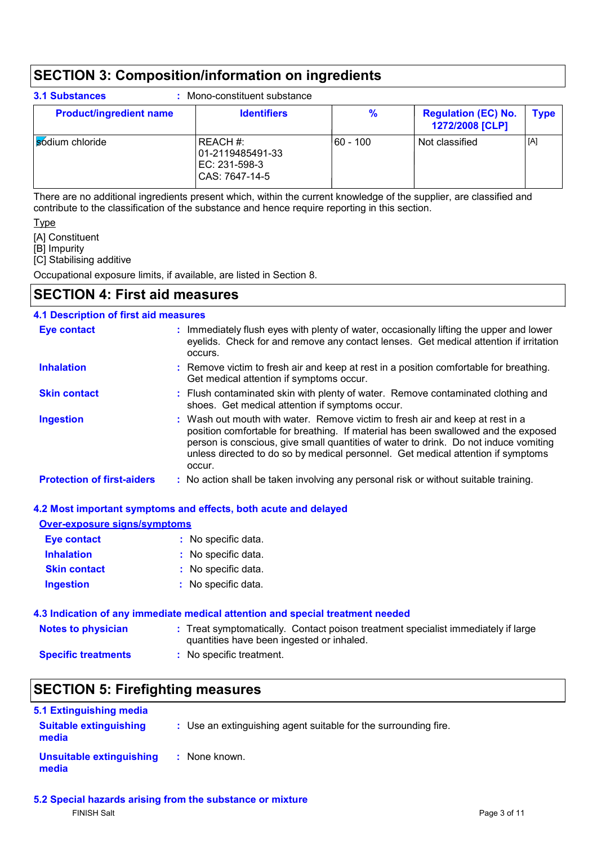### **SECTION 3: Composition/information on ingredients**

| <b>Product/ingredient name</b> | <b>Identifiers</b>                                                | %        | <b>Regulation (EC) No.</b><br>1272/2008 [CLP] | <b>Type</b> |
|--------------------------------|-------------------------------------------------------------------|----------|-----------------------------------------------|-------------|
| sódium chloride                | REACH #:<br>  01-2119485491-33<br>EC: 231-598-3<br>CAS: 7647-14-5 | 60 - 100 | Not classified                                | [A]         |

There are no additional ingredients present which, within the current knowledge of the supplier, are classified and contribute to the classification of the substance and hence require reporting in this section.

#### **Type**

[A] Constituent

[B] Impurity

[C] Stabilising additive

Occupational exposure limits, if available, are listed in Section 8.

### **SECTION 4: First aid measures**

### **4.1 Description of first aid measures**

| <b>Eye contact</b>                | : Immediately flush eyes with plenty of water, occasionally lifting the upper and lower<br>eyelids. Check for and remove any contact lenses. Get medical attention if irritation<br>occurs.                                                                                                                                                               |
|-----------------------------------|-----------------------------------------------------------------------------------------------------------------------------------------------------------------------------------------------------------------------------------------------------------------------------------------------------------------------------------------------------------|
| <b>Inhalation</b>                 | : Remove victim to fresh air and keep at rest in a position comfortable for breathing.<br>Get medical attention if symptoms occur.                                                                                                                                                                                                                        |
| <b>Skin contact</b>               | : Flush contaminated skin with plenty of water. Remove contaminated clothing and<br>shoes. Get medical attention if symptoms occur.                                                                                                                                                                                                                       |
| <b>Ingestion</b>                  | : Wash out mouth with water. Remove victim to fresh air and keep at rest in a<br>position comfortable for breathing. If material has been swallowed and the exposed<br>person is conscious, give small quantities of water to drink. Do not induce vomiting<br>unless directed to do so by medical personnel. Get medical attention if symptoms<br>occur. |
| <b>Protection of first-aiders</b> | : No action shall be taken involving any personal risk or without suitable training.                                                                                                                                                                                                                                                                      |

### **4.2 Most important symptoms and effects, both acute and delayed**

| <b>Over-exposure signs/symptoms</b> |                                                                                                                                |
|-------------------------------------|--------------------------------------------------------------------------------------------------------------------------------|
| <b>Eye contact</b>                  | : No specific data.                                                                                                            |
| <b>Inhalation</b>                   | : No specific data.                                                                                                            |
| <b>Skin contact</b>                 | : No specific data.                                                                                                            |
| <b>Ingestion</b>                    | : No specific data.                                                                                                            |
|                                     | 4.3 Indication of any immediate medical attention and special treatment needed                                                 |
| <b>Notes to physician</b>           | : Treat symptomatically. Contact poison treatment specialist immediately if large<br>quantities have been ingested or inhaled. |
| <b>Specific treatments</b>          | : No specific treatment.                                                                                                       |

### **SECTION 5: Firefighting measures**

| 5.1 Extinguishing media                |                                                                 |
|----------------------------------------|-----------------------------------------------------------------|
| <b>Suitable extinguishing</b><br>media | : Use an extinguishing agent suitable for the surrounding fire. |
| Unsuitable extinguishing<br>media      | : None known.                                                   |

**5.2 Special hazards arising from the substance or mixture** FINISH Salt Page 3 of 11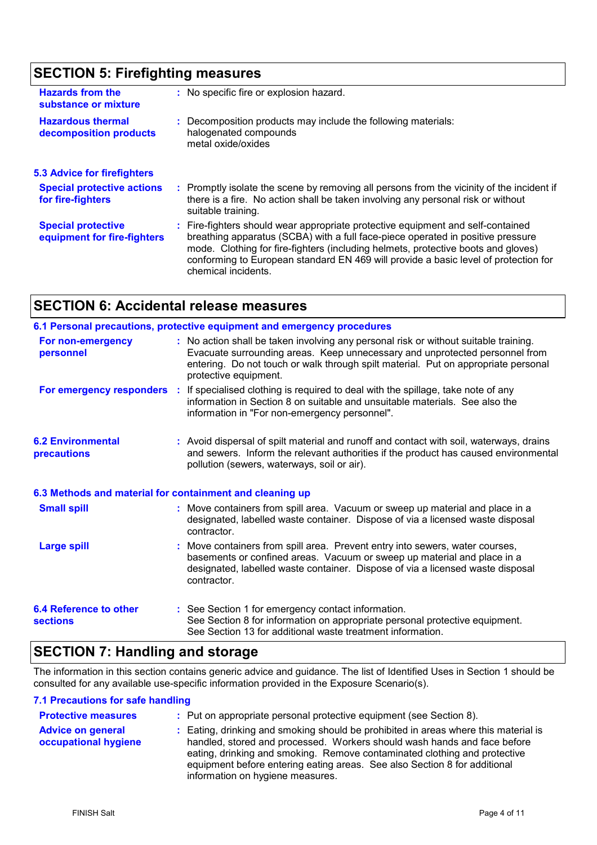#### **SECTION 5: Firefighting measures :** Promptly isolate the scene by removing all persons from the vicinity of the incident if there is a fire. No action shall be taken involving any personal risk or without suitable training. **Hazardous thermal decomposition products Hazards from the substance or mixture** Decomposition products may include the following materials: **:** halogenated compounds metal oxide/oxides No specific fire or explosion hazard. **:** Fire-fighters should wear appropriate protective equipment and self-contained **:** breathing apparatus (SCBA) with a full face-piece operated in positive pressure mode. Clothing for fire-fighters (including helmets, protective boots and gloves) conforming to European standard EN 469 will provide a basic level of protection for chemical incidents. **Special protective equipment for fire-fighters 5.3 Advice for firefighters Special protective actions for fire-fighters**

### **SECTION 6: Accidental release measures**

|                                                  | 6.1 Personal precautions, protective equipment and emergency procedures                                                                                                                                                                                                            |
|--------------------------------------------------|------------------------------------------------------------------------------------------------------------------------------------------------------------------------------------------------------------------------------------------------------------------------------------|
| For non-emergency<br>personnel                   | : No action shall be taken involving any personal risk or without suitable training.<br>Evacuate surrounding areas. Keep unnecessary and unprotected personnel from<br>entering. Do not touch or walk through spilt material. Put on appropriate personal<br>protective equipment. |
|                                                  | For emergency responders : If specialised clothing is required to deal with the spillage, take note of any<br>information in Section 8 on suitable and unsuitable materials. See also the<br>information in "For non-emergency personnel".                                         |
| <b>6.2 Environmental</b><br>precautions          | : Avoid dispersal of spilt material and runoff and contact with soil, waterways, drains<br>and sewers. Inform the relevant authorities if the product has caused environmental<br>pollution (sewers, waterways, soil or air).                                                      |
|                                                  | 6.3 Methods and material for containment and cleaning up                                                                                                                                                                                                                           |
| <b>Small spill</b>                               | : Move containers from spill area. Vacuum or sweep up material and place in a<br>designated, labelled waste container. Dispose of via a licensed waste disposal<br>contractor.                                                                                                     |
| <b>Large spill</b>                               | : Move containers from spill area. Prevent entry into sewers, water courses,<br>basements or confined areas. Vacuum or sweep up material and place in a<br>designated, labelled waste container. Dispose of via a licensed waste disposal<br>contractor.                           |
| <b>6.4 Reference to other</b><br><b>sections</b> | : See Section 1 for emergency contact information.<br>See Section 8 for information on appropriate personal protective equipment.<br>See Section 13 for additional waste treatment information.                                                                                    |

### **SECTION 7: Handling and storage**

The information in this section contains generic advice and guidance. The list of Identified Uses in Section 1 should be consulted for any available use-specific information provided in the Exposure Scenario(s).

### **7.1 Precautions for safe handling**

| <b>Protective measures</b>                       | : Put on appropriate personal protective equipment (see Section 8).                                                                                                                                                                                                                                                                                           |
|--------------------------------------------------|---------------------------------------------------------------------------------------------------------------------------------------------------------------------------------------------------------------------------------------------------------------------------------------------------------------------------------------------------------------|
| <b>Advice on general</b><br>occupational hygiene | : Eating, drinking and smoking should be prohibited in areas where this material is<br>handled, stored and processed. Workers should wash hands and face before<br>eating, drinking and smoking. Remove contaminated clothing and protective<br>equipment before entering eating areas. See also Section 8 for additional<br>information on hygiene measures. |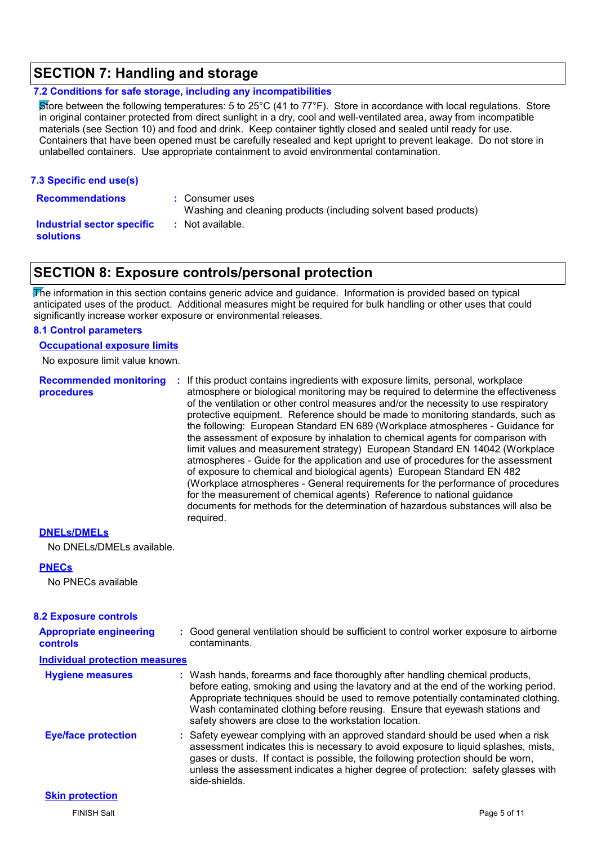### **SECTION 7: Handling and storage**

#### **7.2 Conditions for safe storage, including any incompatibilities**

Store between the following temperatures: 5 to 25°C (41 to 77°F). Store in accordance with local regulations. Store in original container protected from direct sunlight in a dry, cool and well-ventilated area, away from incompatible materials (see Section 10) and food and drink. Keep container tightly closed and sealed until ready for use. Containers that have been opened must be carefully resealed and kept upright to prevent leakage. Do not store in unlabelled containers. Use appropriate containment to avoid environmental contamination.

#### **7.3 Specific end use(s)**

**Recommendations :**

- : Consumer uses
- Washing and cleaning products (including solvent based products)

#### **Industrial sector specific : solutions**

### **SECTION 8: Exposure controls/personal protection**

: Not available.

 $\overline{\text{F}}$ he information in this section contains generic advice and guidance. Information is provided based on typical anticipated uses of the product. Additional measures might be required for bulk handling or other uses that could significantly increase worker exposure or environmental releases.

#### **8.1 Control parameters**

**Occupational exposure limits**

No exposure limit value known.

**procedures**

**Recommended monitoring :** If this product contains ingredients with exposure limits, personal, workplace atmosphere or biological monitoring may be required to determine the effectiveness of the ventilation or other control measures and/or the necessity to use respiratory protective equipment. Reference should be made to monitoring standards, such as the following: European Standard EN 689 (Workplace atmospheres - Guidance for the assessment of exposure by inhalation to chemical agents for comparison with limit values and measurement strategy) European Standard EN 14042 (Workplace atmospheres - Guide for the application and use of procedures for the assessment of exposure to chemical and biological agents) European Standard EN 482 (Workplace atmospheres - General requirements for the performance of procedures for the measurement of chemical agents) Reference to national guidance documents for methods for the determination of hazardous substances will also be required.

### **DNELs/DMELs**

No DNELs/DMELs available.

### **PNECs**

No PNECs available

### **8.2 Exposure controls**

| <b>Appropriate engineering</b><br><b>controls</b> | : Good general ventilation should be sufficient to control worker exposure to airborne<br>contaminants.                                                                                                                                                                                                                                                                                           |
|---------------------------------------------------|---------------------------------------------------------------------------------------------------------------------------------------------------------------------------------------------------------------------------------------------------------------------------------------------------------------------------------------------------------------------------------------------------|
| <b>Individual protection measures</b>             |                                                                                                                                                                                                                                                                                                                                                                                                   |
| <b>Hygiene measures</b>                           | : Wash hands, forearms and face thoroughly after handling chemical products,<br>before eating, smoking and using the lavatory and at the end of the working period.<br>Appropriate techniques should be used to remove potentially contaminated clothing.<br>Wash contaminated clothing before reusing. Ensure that eyewash stations and<br>safety showers are close to the workstation location. |
| <b>Eye/face protection</b>                        | : Safety eyewear complying with an approved standard should be used when a risk<br>assessment indicates this is necessary to avoid exposure to liquid splashes, mists,<br>gases or dusts. If contact is possible, the following protection should be worn,<br>unless the assessment indicates a higher degree of protection: safety glasses with<br>side-shields.                                 |
| <b>Skin protection</b>                            |                                                                                                                                                                                                                                                                                                                                                                                                   |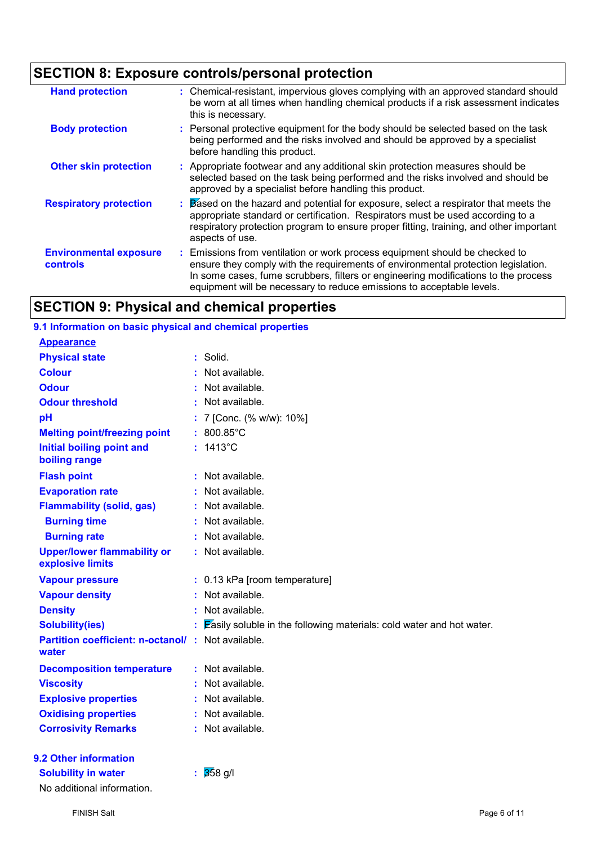## **SECTION 8: Exposure controls/personal protection**

| <b>Hand protection</b>                           | : Chemical-resistant, impervious gloves complying with an approved standard should<br>be worn at all times when handling chemical products if a risk assessment indicates<br>this is necessary.                                                                                                                               |
|--------------------------------------------------|-------------------------------------------------------------------------------------------------------------------------------------------------------------------------------------------------------------------------------------------------------------------------------------------------------------------------------|
| <b>Body protection</b>                           | : Personal protective equipment for the body should be selected based on the task<br>being performed and the risks involved and should be approved by a specialist<br>before handling this product.                                                                                                                           |
| <b>Other skin protection</b>                     | : Appropriate footwear and any additional skin protection measures should be<br>selected based on the task being performed and the risks involved and should be<br>approved by a specialist before handling this product.                                                                                                     |
| <b>Respiratory protection</b>                    | Based on the hazard and potential for exposure, select a respirator that meets the<br>appropriate standard or certification. Respirators must be used according to a<br>respiratory protection program to ensure proper fitting, training, and other important<br>aspects of use.                                             |
| <b>Environmental exposure</b><br><b>controls</b> | Emissions from ventilation or work process equipment should be checked to<br>ensure they comply with the requirements of environmental protection legislation.<br>In some cases, fume scrubbers, filters or engineering modifications to the process<br>equipment will be necessary to reduce emissions to acceptable levels. |

### **SECTION 9: Physical and chemical properties**

| 9.1 Information on basic physical and chemical properties |                                                                      |
|-----------------------------------------------------------|----------------------------------------------------------------------|
| <b>Appearance</b>                                         |                                                                      |
| <b>Physical state</b>                                     | Solid.                                                               |
| <b>Colour</b>                                             | Not available.                                                       |
| <b>Odour</b>                                              | Not available.                                                       |
| <b>Odour threshold</b>                                    | Not available.                                                       |
| pH                                                        | 7 [Conc. (% w/w): 10%]                                               |
| <b>Melting point/freezing point</b>                       | 800.85°C                                                             |
| <b>Initial boiling point and</b><br>boiling range         | 1413°C                                                               |
| <b>Flash point</b>                                        | Not available.                                                       |
| <b>Evaporation rate</b>                                   | Not available.                                                       |
| <b>Flammability (solid, gas)</b>                          | Not available.                                                       |
| <b>Burning time</b>                                       | Not available.                                                       |
| <b>Burning rate</b>                                       | Not available.                                                       |
| <b>Upper/lower flammability or</b><br>explosive limits    | : Not available.                                                     |
| <b>Vapour pressure</b>                                    | : 0.13 kPa [room temperature]                                        |
| <b>Vapour density</b>                                     | Not available.                                                       |
| <b>Density</b>                                            | Not available.                                                       |
| <b>Solubility(ies)</b>                                    | Easily soluble in the following materials: cold water and hot water. |
| <b>Partition coefficient: n-octanol/:</b><br>water        | Not available.                                                       |
| <b>Decomposition temperature</b>                          | : Not available.                                                     |
| <b>Viscosity</b>                                          | Not available.                                                       |
| <b>Explosive properties</b>                               | Not available.                                                       |
| <b>Oxidising properties</b>                               | Not available.                                                       |
| <b>Corrosivity Remarks</b>                                | Not available.                                                       |
| 9.2 Other information                                     |                                                                      |
| <b>Solubility in water</b>                                | $\frac{1}{358}$ g/l                                                  |

No additional information.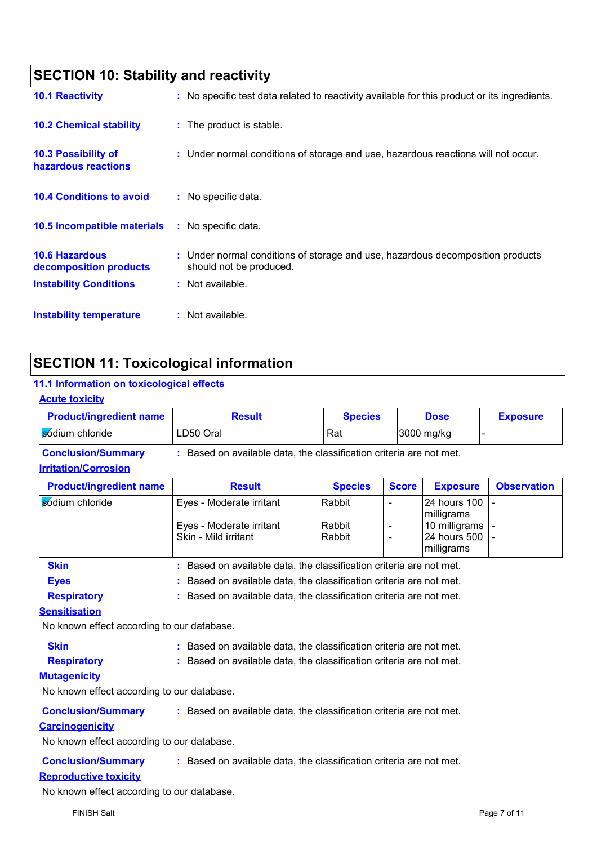| <b>SECTION 10: Stability and reactivity</b>                                      |                                                                                                                               |  |
|----------------------------------------------------------------------------------|-------------------------------------------------------------------------------------------------------------------------------|--|
| <b>10.1 Reactivity</b>                                                           | : No specific test data related to reactivity available for this product or its ingredients.                                  |  |
| <b>10.2 Chemical stability</b>                                                   | : The product is stable.                                                                                                      |  |
| <b>10.3 Possibility of</b><br>hazardous reactions                                | : Under normal conditions of storage and use, hazardous reactions will not occur.                                             |  |
| <b>10.4 Conditions to avoid</b>                                                  | : No specific data.                                                                                                           |  |
| 10.5 Incompatible materials                                                      | : No specific data.                                                                                                           |  |
| <b>10.6 Hazardous</b><br>decomposition products<br><b>Instability Conditions</b> | : Under normal conditions of storage and use, hazardous decomposition products<br>should not be produced.<br>: Not available. |  |
| Instability temperature                                                          | : Not available.                                                                                                              |  |

### **SECTION 11: Toxicological information**

### **11.1 Information on toxicological effects**

| <b>Acute toxicity</b>          |               |                |             |                 |
|--------------------------------|---------------|----------------|-------------|-----------------|
| <b>Product/ingredient name</b> | <b>Result</b> | <b>Species</b> | <b>Dose</b> | <b>Exposure</b> |
| Sodium chloride                | LD50 Oral     | Rat            | 3000 mg/kg  |                 |

**Conclusion/Summary :** Based on available data, the classification criteria are not met.

### **Irritation/Corrosion**

| <b>Product/ingredient name</b> | <b>Result</b>                                                       | <b>Species</b>   | <b>Score</b> | <b>Exposure</b>                                   | <b>Observation</b> |
|--------------------------------|---------------------------------------------------------------------|------------------|--------------|---------------------------------------------------|--------------------|
| sódium chloride                | Eyes - Moderate irritant                                            | Rabbit           |              | <b>24 hours 100</b><br>milligrams                 |                    |
|                                | Eyes - Moderate irritant<br>Skin - Mild irritant                    | Rabbit<br>Rabbit |              | 10 milligrams -<br>24 hours 500   -<br>milligrams |                    |
| <b>Skin</b>                    | : Based on available data, the classification criteria are not met. |                  |              |                                                   |                    |

| OMIL | Based on available data, the classification chilena are not met.    |  |
|------|---------------------------------------------------------------------|--|
| Eyes | : Based on available data, the classification criteria are not met. |  |
|      |                                                                     |  |

### **Respiratory :** Based on available data, the classification criteria are not met.

### **Sensitisation**

No known effect according to our database.

| Skin | : Based on available data, the classification criteria are not met. |
|------|---------------------------------------------------------------------|
|      |                                                                     |

**Respiratory :** Based on available data, the classification criteria are not met.

### **Mutagenicity**

No known effect according to our database.

| <b>Conclusion/Summary</b> |  | * Based on available data, the classification criteria are not met. |
|---------------------------|--|---------------------------------------------------------------------|
|---------------------------|--|---------------------------------------------------------------------|

### **Carcinogenicity**

No known effect according to our database.

| <b>Conclusion/Summary</b> | Based on available data, the classification criteria are not met. |  |
|---------------------------|-------------------------------------------------------------------|--|
|---------------------------|-------------------------------------------------------------------|--|

### **Reproductive toxicity**

No known effect according to our database.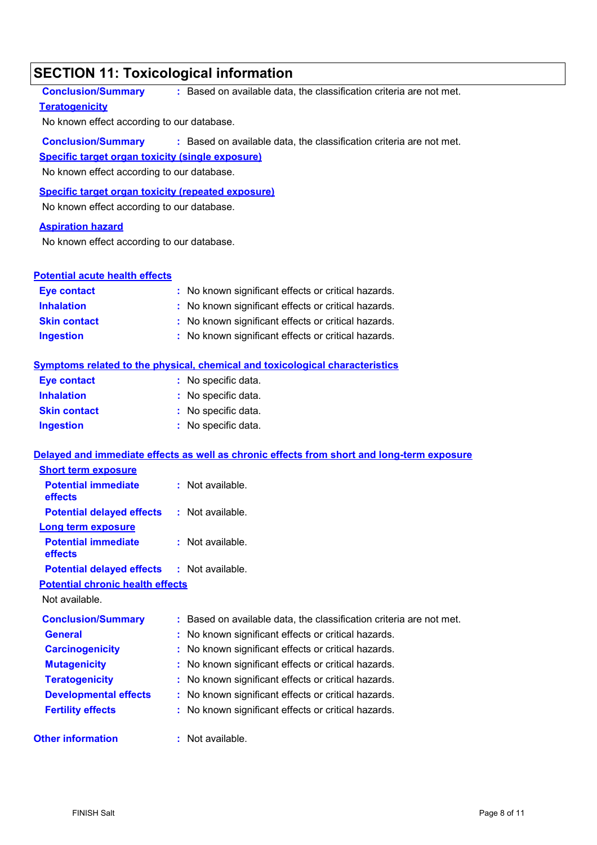### **SECTION 11: Toxicological information**

| SECTION 11: Toxicological information                     |                                                                                            |
|-----------------------------------------------------------|--------------------------------------------------------------------------------------------|
| <b>Conclusion/Summary</b>                                 | : Based on available data, the classification criteria are not met.                        |
| <b>Teratogenicity</b>                                     |                                                                                            |
| No known effect according to our database.                |                                                                                            |
| <b>Conclusion/Summary</b>                                 | : Based on available data, the classification criteria are not met.                        |
| Specific target organ toxicity (single exposure)          |                                                                                            |
| No known effect according to our database.                |                                                                                            |
| <b>Specific target organ toxicity (repeated exposure)</b> |                                                                                            |
| No known effect according to our database.                |                                                                                            |
| <b>Aspiration hazard</b>                                  |                                                                                            |
| No known effect according to our database.                |                                                                                            |
|                                                           |                                                                                            |
| <b>Potential acute health effects</b>                     |                                                                                            |
| <b>Eye contact</b>                                        | : No known significant effects or critical hazards.                                        |
| <b>Inhalation</b>                                         | : No known significant effects or critical hazards.                                        |
| <b>Skin contact</b>                                       | : No known significant effects or critical hazards.                                        |
| <b>Ingestion</b>                                          | : No known significant effects or critical hazards.                                        |
|                                                           | <b>Symptoms related to the physical, chemical and toxicological characteristics</b>        |
| <b>Eye contact</b>                                        | : No specific data.                                                                        |
| <b>Inhalation</b>                                         | : No specific data.                                                                        |
| <b>Skin contact</b>                                       | : No specific data.                                                                        |
| <b>Ingestion</b>                                          | : No specific data.                                                                        |
|                                                           | Delayed and immediate effects as well as chronic effects from short and long-term exposure |
| <b>Short term exposure</b>                                |                                                                                            |
| <b>Potential immediate</b><br>effects                     | : Not available.                                                                           |
| <b>Potential delayed effects</b>                          | : Not available.                                                                           |
| <b>Long term exposure</b>                                 |                                                                                            |
| <b>Potential immediate</b><br>effects                     | $:$ Not available.                                                                         |
| <b>Potential delayed effects</b>                          | : Not available.                                                                           |
| <b>Potential chronic health effects</b>                   |                                                                                            |
| Not available.                                            |                                                                                            |
| <b>Conclusion/Summary</b>                                 | : Based on available data, the classification criteria are not met.                        |
| <b>General</b>                                            | No known significant effects or critical hazards.                                          |
| <b>Carcinogenicity</b>                                    | No known significant effects or critical hazards.                                          |
| <b>Mutagenicity</b>                                       | No known significant effects or critical hazards.                                          |

- **Teratogenicity :** No known significant effects or critical hazards. **Developmental effects :** No known significant effects or critical hazards.
- **Fertility effects :** No known significant effects or critical hazards.

#### **Other information :** : Not available.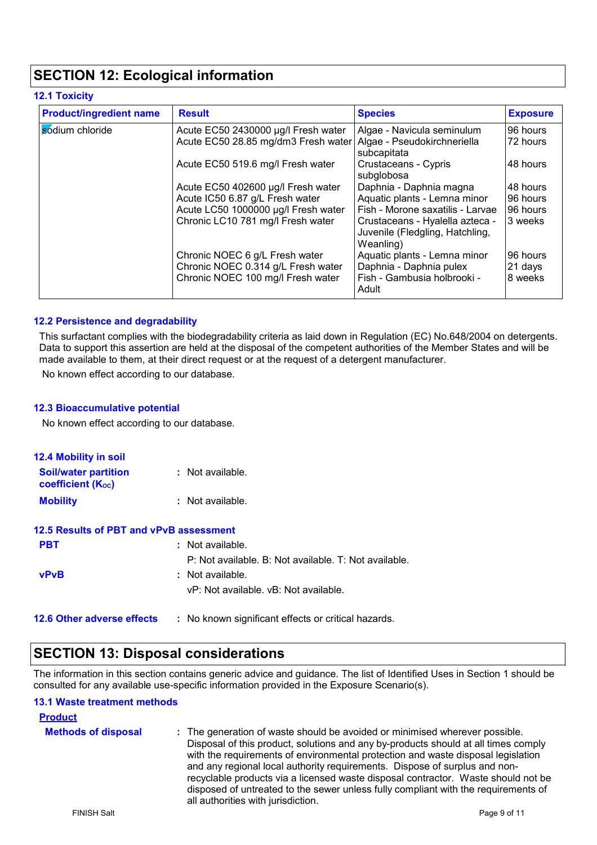### **SECTION 12: Ecological information**

### **12.1 Toxicity**

| <b>Product/ingredient name</b> | <b>Result</b>                                                   | <b>Species</b>                                                                  | <b>Exposure</b> |
|--------------------------------|-----------------------------------------------------------------|---------------------------------------------------------------------------------|-----------------|
| sódium chloride                | Acute EC50 2430000 µg/l Fresh water                             | Algae - Navicula seminulum                                                      | 96 hours        |
|                                | Acute EC50 28.85 mg/dm3 Fresh water Algae - Pseudokirchneriella | subcapitata                                                                     | 72 hours        |
|                                | Acute EC50 519.6 mg/l Fresh water                               | Crustaceans - Cypris<br>subglobosa                                              | 48 hours        |
|                                | Acute EC50 402600 µg/l Fresh water                              | Daphnia - Daphnia magna                                                         | 48 hours        |
|                                | Acute IC50 6.87 g/L Fresh water                                 | Aquatic plants - Lemna minor                                                    | 96 hours        |
|                                | Acute LC50 1000000 µg/l Fresh water                             | Fish - Morone saxatilis - Larvae                                                | 96 hours        |
|                                | Chronic LC10 781 mg/l Fresh water                               | Crustaceans - Hyalella azteca -<br>Juvenile (Fledgling, Hatchling,<br>Weanling) | 3 weeks         |
|                                | Chronic NOEC 6 g/L Fresh water                                  | Aquatic plants - Lemna minor                                                    | 96 hours        |
|                                | Chronic NOEC 0.314 g/L Fresh water                              | Daphnia - Daphnia pulex                                                         | 21 days         |
|                                | Chronic NOEC 100 mg/l Fresh water                               | Fish - Gambusia holbrooki -<br>Adult                                            | 8 weeks         |

### **12.2 Persistence and degradability**

This surfactant complies with the biodegradability criteria as laid down in Regulation (EC) No.648/2004 on detergents. Data to support this assertion are held at the disposal of the competent authorities of the Member States and will be made available to them, at their direct request or at the request of a detergent manufacturer.

No known effect according to our database.

#### **12.3 Bioaccumulative potential**

No known effect according to our database.

| <b>12.4 Mobility in soil</b>                            |                                                       |
|---------------------------------------------------------|-------------------------------------------------------|
| <b>Soil/water partition</b><br><b>coefficient (Koc)</b> | $:$ Not available.                                    |
| <b>Mobility</b>                                         | $:$ Not available.                                    |
| 12.5 Results of PBT and vPvB assessment                 |                                                       |
| <b>PBT</b>                                              | $:$ Not available.                                    |
|                                                         | P: Not available. B: Not available. T: Not available. |
| <b>vPvB</b>                                             | $:$ Not available.                                    |
|                                                         | vP: Not available, vB: Not available.                 |
| <b>12.6 Other adverse effects</b>                       | : No known significant effects or critical hazards.   |

### **SECTION 13: Disposal considerations**

The information in this section contains generic advice and guidance. The list of Identified Uses in Section 1 should be consulted for any available use-specific information provided in the Exposure Scenario(s).

#### **13.1 Waste treatment methods**

| <b>Product</b>             |                                                                                                                                                                                                                                                                                                                                                                                                                                                                                                                                                      |
|----------------------------|------------------------------------------------------------------------------------------------------------------------------------------------------------------------------------------------------------------------------------------------------------------------------------------------------------------------------------------------------------------------------------------------------------------------------------------------------------------------------------------------------------------------------------------------------|
| <b>Methods of disposal</b> | : The generation of waste should be avoided or minimised wherever possible.<br>Disposal of this product, solutions and any by-products should at all times comply<br>with the requirements of environmental protection and waste disposal legislation<br>and any regional local authority requirements. Dispose of surplus and non-<br>recyclable products via a licensed waste disposal contractor. Waste should not be<br>disposed of untreated to the sewer unless fully compliant with the requirements of<br>all authorities with jurisdiction. |
| <b>FINISH Salt</b>         | Page 9 of 11                                                                                                                                                                                                                                                                                                                                                                                                                                                                                                                                         |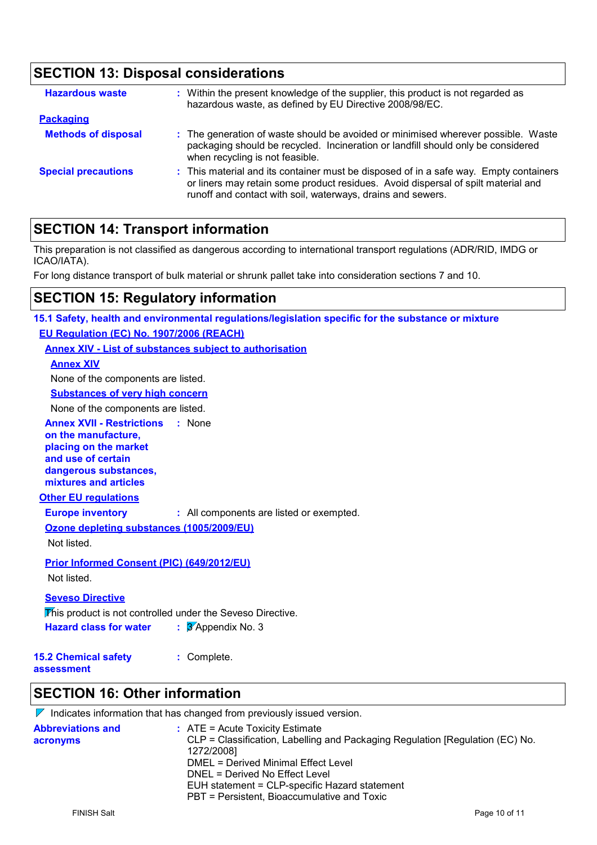### **SECTION 13: Disposal considerations**

| <b>Hazardous waste</b>     | : Within the present knowledge of the supplier, this product is not regarded as<br>hazardous waste, as defined by EU Directive 2008/98/EC.                                                                                                |
|----------------------------|-------------------------------------------------------------------------------------------------------------------------------------------------------------------------------------------------------------------------------------------|
| <b>Packaging</b>           |                                                                                                                                                                                                                                           |
| <b>Methods of disposal</b> | : The generation of waste should be avoided or minimised wherever possible. Waste<br>packaging should be recycled. Incineration or landfill should only be considered<br>when recycling is not feasible.                                  |
| <b>Special precautions</b> | : This material and its container must be disposed of in a safe way. Empty containers<br>or liners may retain some product residues. Avoid dispersal of spilt material and<br>runoff and contact with soil, waterways, drains and sewers. |

### **SECTION 14: Transport information**

This preparation is not classified as dangerous according to international transport regulations (ADR/RID, IMDG or ICAO/IATA).

For long distance transport of bulk material or shrunk pallet take into consideration sections 7 and 10.

### **SECTION 15: Regulatory information**

| 15.1 Safety, health and environmental regulations/legislation specific for the substance or mixture |
|-----------------------------------------------------------------------------------------------------|
| EU Regulation (EC) No. 1907/2006 (REACH)                                                            |
| <b>Annex XIV - List of substances subject to authorisation</b>                                      |
| <b>Annex XIV</b>                                                                                    |
| None of the components are listed.                                                                  |
| <b>Substances of very high concern</b>                                                              |
| None of the components are listed.                                                                  |
| <b>Annex XVII - Restrictions : None</b>                                                             |
| on the manufacture,                                                                                 |
| placing on the market<br>and use of certain                                                         |
| dangerous substances,                                                                               |
| mixtures and articles                                                                               |
| <b>Other EU regulations</b>                                                                         |
| <b>Europe inventory</b><br>: All components are listed or exempted.                                 |
| Ozone depleting substances (1005/2009/EU)                                                           |
| Not listed.                                                                                         |
| Prior Informed Consent (PIC) (649/2012/EU)                                                          |
| Not listed.                                                                                         |
| <b>Seveso Directive</b>                                                                             |
| This product is not controlled under the Seveso Directive.                                          |
| $\frac{1}{3}$ Appendix No. 3<br><b>Hazard class for water</b>                                       |
|                                                                                                     |
| <b>15.2 Chemical safety</b><br>: Complete.                                                          |
| assessment                                                                                          |

### **SECTION 16: Other information**

 $\nabla$  Indicates information that has changed from previously issued version.

| <b>Abbreviations and</b> | $\therefore$ ATE = Acute Toxicity Estimate                                    |
|--------------------------|-------------------------------------------------------------------------------|
| acronyms                 | CLP = Classification, Labelling and Packaging Regulation [Regulation (EC) No. |
|                          | 1272/2008]                                                                    |
|                          | DMEL = Derived Minimal Effect Level                                           |
|                          | DNEL = Derived No Effect Level                                                |
|                          | EUH statement = CLP-specific Hazard statement                                 |
|                          | PBT = Persistent, Bioaccumulative and Toxic                                   |